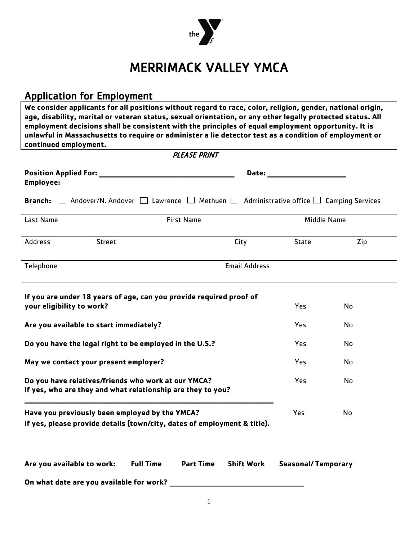

# MERRIMACK VALLEY YMCA

## Application for Employment

**We consider applicants for all positions without regard to race, color, religion, gender, national origin, age, disability, marital or veteran status, sexual orientation, or any other legally protected status. All employment decisions shall be consistent with the principles of equal employment opportunity. It is unlawful in Massachusetts to require or administer a lie detector test as a condition of employment or continued employment.** 

| <b>PLEASE PRINT</b>                                                                                                        |                   |                  |                      |                           |     |
|----------------------------------------------------------------------------------------------------------------------------|-------------------|------------------|----------------------|---------------------------|-----|
| <b>Position Applied For:</b><br><b>Employee:</b>                                                                           |                   |                  | Date:                |                           |     |
| Andover/N. Andover $\Box$ Lawrence $\Box$ Methuen $\Box$ Administrative office $\Box$ Camping Services<br><b>Branch:</b>   |                   |                  |                      |                           |     |
| Last Name                                                                                                                  | <b>First Name</b> |                  | <b>Middle Name</b>   |                           |     |
| Address<br><b>Street</b>                                                                                                   |                   |                  | City                 | State                     | Zip |
| Telephone                                                                                                                  |                   |                  | <b>Email Address</b> |                           |     |
| If you are under 18 years of age, can you provide required proof of<br>your eligibility to work?                           |                   |                  |                      | Yes                       | No  |
| Are you available to start immediately?                                                                                    |                   |                  |                      | Yes                       | No  |
| Do you have the legal right to be employed in the U.S.?                                                                    |                   |                  |                      | Yes                       | No  |
| May we contact your present employer?                                                                                      |                   |                  | Yes                  | No                        |     |
| Do you have relatives/friends who work at our YMCA?<br>If yes, who are they and what relationship are they to you?         |                   |                  |                      | Yes                       | No  |
| Have you previously been employed by the YMCA?<br>If yes, please provide details (town/city, dates of employment & title). |                   |                  |                      | Yes                       | No  |
| Are you available to work:                                                                                                 | <b>Full Time</b>  | <b>Part Time</b> | <b>Shift Work</b>    | <b>Seasonal/Temporary</b> |     |
| On what date are you available for work?                                                                                   |                   |                  |                      |                           |     |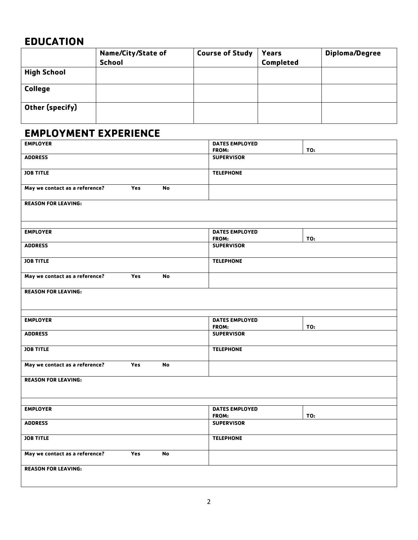### **EDUCATION**

|                    | Name/City/State of<br><b>School</b> | <b>Course of Study</b> | Years<br>Completed | <b>Diploma/Degree</b> |
|--------------------|-------------------------------------|------------------------|--------------------|-----------------------|
| <b>High School</b> |                                     |                        |                    |                       |
| <b>College</b>     |                                     |                        |                    |                       |
| Other (specify)    |                                     |                        |                    |                       |

# **EMPLOYMENT EXPERIENCE**

| <b>EMPLOYER</b>                |            |           | <b>DATES EMPLOYED</b> |     |
|--------------------------------|------------|-----------|-----------------------|-----|
|                                |            |           | FROM:                 | TO: |
| <b>ADDRESS</b>                 |            |           | <b>SUPERVISOR</b>     |     |
|                                |            |           |                       |     |
| <b>JOB TITLE</b>               |            |           | <b>TELEPHONE</b>      |     |
|                                |            |           |                       |     |
| May we contact as a reference? | Yes        | No        |                       |     |
|                                |            |           |                       |     |
| <b>REASON FOR LEAVING:</b>     |            |           |                       |     |
|                                |            |           |                       |     |
|                                |            |           |                       |     |
|                                |            |           |                       |     |
| <b>EMPLOYER</b>                |            |           | <b>DATES EMPLOYED</b> |     |
|                                |            |           | FROM:                 | TO: |
| <b>ADDRESS</b>                 |            |           | <b>SUPERVISOR</b>     |     |
|                                |            |           |                       |     |
| <b>JOB TITLE</b>               |            |           | <b>TELEPHONE</b>      |     |
|                                |            |           |                       |     |
| May we contact as a reference? | Yes        | <b>No</b> |                       |     |
|                                |            |           |                       |     |
| <b>REASON FOR LEAVING:</b>     |            |           |                       |     |
|                                |            |           |                       |     |
|                                |            |           |                       |     |
| <b>EMPLOYER</b>                |            |           | <b>DATES EMPLOYED</b> |     |
|                                |            |           | FROM:                 | TO: |
| <b>ADDRESS</b>                 |            |           | <b>SUPERVISOR</b>     |     |
|                                |            |           |                       |     |
| <b>JOB TITLE</b>               |            |           | <b>TELEPHONE</b>      |     |
|                                |            |           |                       |     |
| May we contact as a reference? | <b>Yes</b> | <b>No</b> |                       |     |
|                                |            |           |                       |     |
| <b>REASON FOR LEAVING:</b>     |            |           |                       |     |
|                                |            |           |                       |     |
|                                |            |           |                       |     |
|                                |            |           |                       |     |
| <b>EMPLOYER</b>                |            |           | <b>DATES EMPLOYED</b> |     |
|                                |            |           | FROM:                 | TO: |
| <b>ADDRESS</b>                 |            |           | <b>SUPERVISOR</b>     |     |
|                                |            |           |                       |     |
| <b>JOB TITLE</b>               |            |           | <b>TELEPHONE</b>      |     |
|                                |            |           |                       |     |
| May we contact as a reference? | Yes        | <b>No</b> |                       |     |
|                                |            |           |                       |     |
| <b>REASON FOR LEAVING:</b>     |            |           |                       |     |
|                                |            |           |                       |     |
|                                |            |           |                       |     |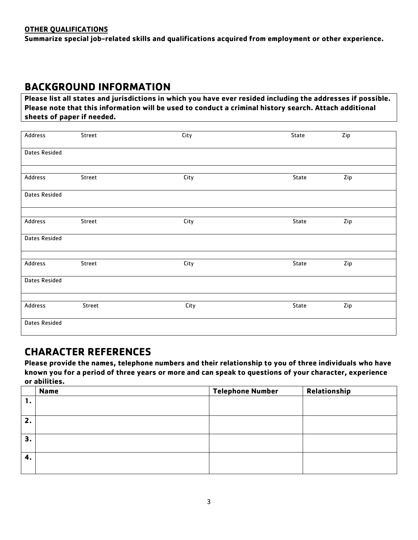#### **OTHER QUALIFICATIONS**

**Summarize special job-related skills and qualifications acquired from employment or other experience.**

### **BACKGROUND INFORMATION**

**Please list all states and jurisdictions in which you have ever resided including the addresses if possible. Please note that this information will be used to conduct a criminal history search. Attach additional sheets of paper if needed.**

| Address       | Street | City | State | Zip |
|---------------|--------|------|-------|-----|
| Dates Resided |        |      |       |     |
| Address       | Street | City | State | Zip |
| Dates Resided |        |      |       |     |
|               |        |      |       |     |
| Address       | Street | City | State | Zip |
| Dates Resided |        |      |       |     |
| Address       | Street | City | State | Zip |
| Dates Resided |        |      |       |     |
| Address       | Street | City | State | Zip |
| Dates Resided |        |      |       |     |

### **CHARACTER REFERENCES**

**Please provide the names, telephone numbers and their relationship to you of three individuals who have known you for a period of three years or more and can speak to questions of your character, experience or abilities.** 

|                | <b>Name</b> | <b>Telephone Number</b> | Relationship |
|----------------|-------------|-------------------------|--------------|
|                |             |                         |              |
|                |             |                         |              |
| $\mathbf{z}$ . |             |                         |              |
| З.             |             |                         |              |
| 4.             |             |                         |              |